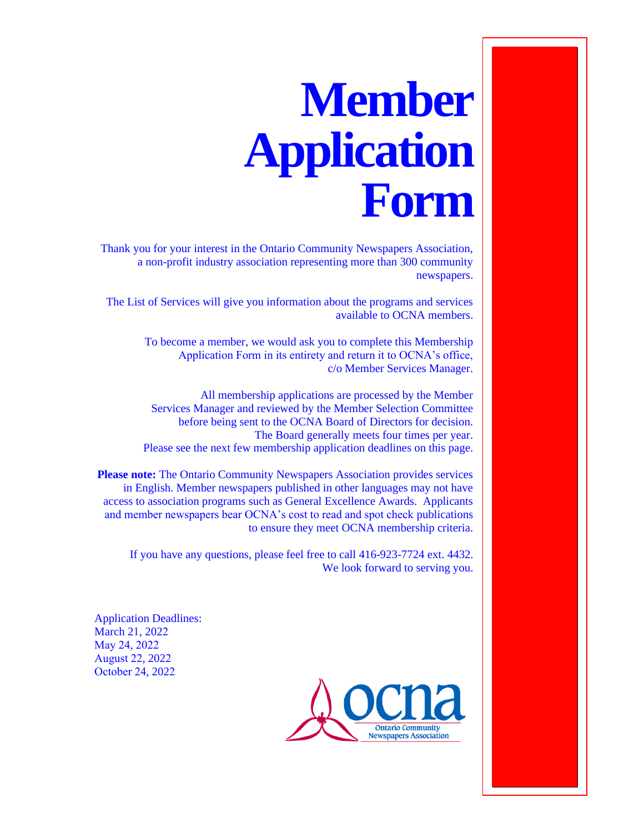## **Member Application Form**

Thank you for your interest in the Ontario Community Newspapers Association, a non-profit industry association representing more than 300 community newspapers.

The List of Services will give you information about the programs and services available to OCNA members.

> To become a member, we would ask you to complete this Membership Application Form in its entirety and return it to OCNA's office, c/o Member Services Manager.

> All membership applications are processed by the Member Services Manager and reviewed by the Member Selection Committee before being sent to the OCNA Board of Directors for decision. The Board generally meets four times per year. Please see the next few membership application deadlines on this page.

**Please note:** The Ontario Community Newspapers Association provides services in English. Member newspapers published in other languages may not have access to association programs such as General Excellence Awards. Applicants and member newspapers bear OCNA's cost to read and spot check publications to ensure they meet OCNA membership criteria.

If you have any questions, please feel free to call 416-923-7724 ext. 4432. We look forward to serving you.

Application Deadlines: March 21, 2022 May 24, 2022 August 22, 2022 October 24, 2022

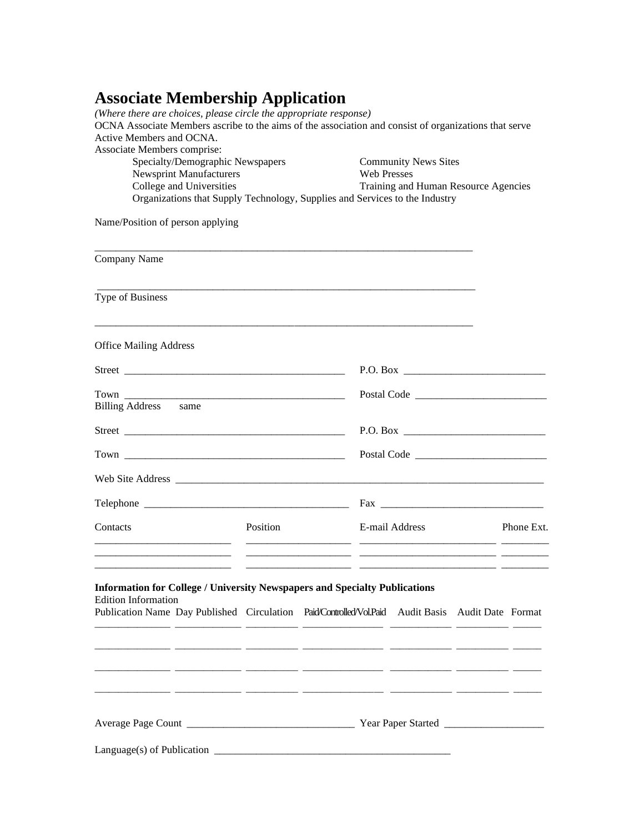## **Associate Membership Application**

| (Where there are choices, please circle the appropriate response)<br>OCNA Associate Members ascribe to the aims of the association and consist of organizations that serve<br>Active Members and OCNA. |          |  |                                                                                           |  |  |            |                                  |  |  |  |  |  |  |
|--------------------------------------------------------------------------------------------------------------------------------------------------------------------------------------------------------|----------|--|-------------------------------------------------------------------------------------------|--|--|------------|----------------------------------|--|--|--|--|--|--|
| Associate Members comprise:                                                                                                                                                                            |          |  |                                                                                           |  |  |            |                                  |  |  |  |  |  |  |
| Specialty/Demographic Newspapers<br><b>Newsprint Manufacturers</b><br>College and Universities<br>Organizations that Supply Technology, Supplies and Services to the Industry                          |          |  | <b>Community News Sites</b><br><b>Web Presses</b><br>Training and Human Resource Agencies |  |  |            |                                  |  |  |  |  |  |  |
|                                                                                                                                                                                                        |          |  |                                                                                           |  |  |            |                                  |  |  |  |  |  |  |
|                                                                                                                                                                                                        |          |  |                                                                                           |  |  |            | Name/Position of person applying |  |  |  |  |  |  |
| Company Name                                                                                                                                                                                           |          |  |                                                                                           |  |  |            |                                  |  |  |  |  |  |  |
| Type of Business                                                                                                                                                                                       |          |  |                                                                                           |  |  |            |                                  |  |  |  |  |  |  |
| <b>Office Mailing Address</b>                                                                                                                                                                          |          |  |                                                                                           |  |  |            |                                  |  |  |  |  |  |  |
|                                                                                                                                                                                                        |          |  | P.O. Box                                                                                  |  |  |            |                                  |  |  |  |  |  |  |
|                                                                                                                                                                                                        |          |  |                                                                                           |  |  |            |                                  |  |  |  |  |  |  |
| Billing Address same                                                                                                                                                                                   |          |  |                                                                                           |  |  |            |                                  |  |  |  |  |  |  |
|                                                                                                                                                                                                        |          |  | P.O. Box                                                                                  |  |  |            |                                  |  |  |  |  |  |  |
|                                                                                                                                                                                                        |          |  | Postal Code                                                                               |  |  |            |                                  |  |  |  |  |  |  |
|                                                                                                                                                                                                        |          |  |                                                                                           |  |  |            |                                  |  |  |  |  |  |  |
|                                                                                                                                                                                                        |          |  |                                                                                           |  |  |            |                                  |  |  |  |  |  |  |
| Contacts                                                                                                                                                                                               | Position |  | E-mail Address                                                                            |  |  | Phone Ext. |                                  |  |  |  |  |  |  |
| <b>Information for College / University Newspapers and Specialty Publications</b>                                                                                                                      |          |  |                                                                                           |  |  |            |                                  |  |  |  |  |  |  |
| <b>Edition Information</b><br>Publication Name Day Published Circulation Paid/Controlled/Vol.Paid Audit Basis Audit Date Format                                                                        |          |  |                                                                                           |  |  |            |                                  |  |  |  |  |  |  |
|                                                                                                                                                                                                        |          |  |                                                                                           |  |  |            |                                  |  |  |  |  |  |  |
|                                                                                                                                                                                                        |          |  |                                                                                           |  |  |            |                                  |  |  |  |  |  |  |
| <u> 2000 - 2000 - 2000 - 2000 - 2000 - 2000 - 2000 - 2000 - 2000 - 2000 - 2000 - 2000 - 2000 - 2000 - 2000 - 200</u>                                                                                   |          |  |                                                                                           |  |  |            |                                  |  |  |  |  |  |  |
|                                                                                                                                                                                                        |          |  |                                                                                           |  |  |            |                                  |  |  |  |  |  |  |
|                                                                                                                                                                                                        |          |  |                                                                                           |  |  |            |                                  |  |  |  |  |  |  |